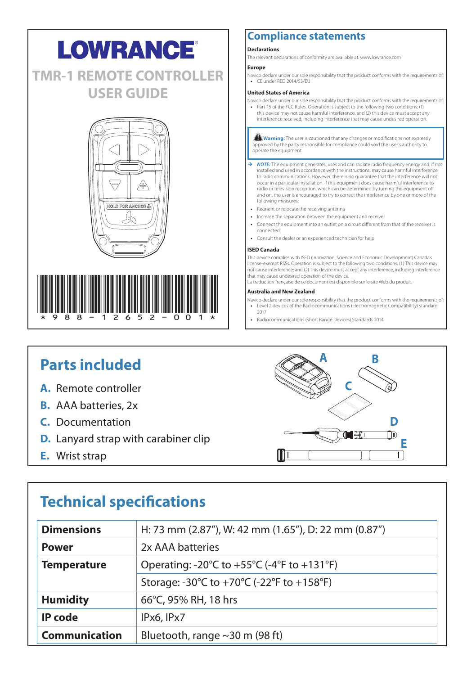# **LOWRANCE® TMR-1 REMOTE CONTROLLER USER GUIDE**





### **Compliance statements**

### **Declarations**

The relevant declarations of conformity are available at: www.lowrance.com

### **Europe**

Navico declare under our sole responsibility that the product conforms with the requirements of: **•** CE under RED 2014/53/EU

### **United States of America**

Navico declare under our sole responsibility that the product conforms with the requirements of: **•** Part 15 of the FCC Rules. Operation is subject to the following two conditions: (1) this device may not cause harmful interference, and (2) this device must accept any interference received, including interference that may cause undesired operation.

**! Warning:** The user is cautioned that any changes or modifications not expressly approved by the party responsible for compliance could void the user's authority to operate the equipment.

- → **NOTE:** The equipment generates, uses and can radiate radio frequency energy and, if not installed and used in accordance with the instructions, may cause harmful interferences to radio communications. However, there is no guarantee that the interference will not occur in a particular installation. If this equipment does cause harmful interference to radio or television reception, which can be determined by turning the equipment off and on, the user is encouraged to try to correct the interference by one or more of the following measures:
- **•** Reorient or relocate the receiving antenna
- **•** Increase the separation between the equipment and receiver
- **•** Connect the equipment into an outlet on a circuit different from that of the receiver is connected
- **•** Consult the dealer or an experienced technician for help

#### **ISED Canada**

This device complies with ISED (Innovation, Science and Economic Development) Canada's license-exempt RSSs. Operation is subject to the following two conditions: (1) This device may not cause interference; and (2) This device must accept any interference, including interference that may cause undesired operation of the device.

La traduction française de ce document est disponible sur le site Web du produit.

### **Australia and New Zealand**

- Navico declare under our sole responsibility that the product conforms with the requirements of: **•** Level 2 devices of the Radiocommunications (Electromagnetic Compatibility) standard 2017
- **•** Radiocommunications (Short Range Devices) Standards 2014

## **Parts included**

- **A.** Remote controller
- **B.** AAA batteries, 2x
- **C.** Documentation
- **D.** Lanyard strap with carabiner clip
- **E.** Wrist strap



# **Technical specifications**

| <b>Dimensions</b>                                                                                        | H: 73 mm (2.87"), W: 42 mm (1.65"), D: 22 mm (0.87") |  |
|----------------------------------------------------------------------------------------------------------|------------------------------------------------------|--|
| <b>Power</b>                                                                                             | 2x AAA batteries                                     |  |
| Operating: -20 $\degree$ C to +55 $\degree$ C (-4 $\degree$ F to +131 $\degree$ F)<br><b>Temperature</b> |                                                      |  |
|                                                                                                          | Storage: -30°C to +70°C (-22°F to +158°F)            |  |
| <b>Humidity</b>                                                                                          | 66°C, 95% RH, 18 hrs                                 |  |
| <b>IP</b> code                                                                                           | IPx6, IPx7                                           |  |
| Communication                                                                                            | Bluetooth, range $\sim$ 30 m (98 ft)                 |  |